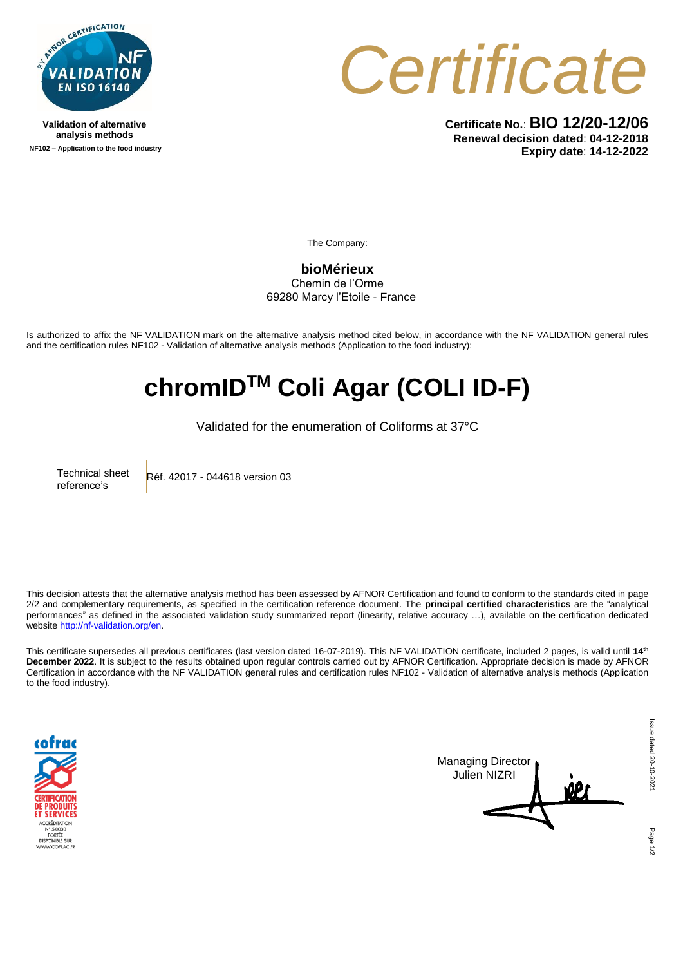

**Validation of alternative analysis methods NF102 – Application to the food industry** *Certificate*

**Certificate No.**: **BIO 12/20-12/06 Renewal decision dated**: **04-12-2018 Expiry date**: **14-12-2022**

The Company:

**bioMérieux** Chemin de l'Orme 69280 Marcy l'Etoile - France

Is authorized to affix the NF VALIDATION mark on the alternative analysis method cited below, in accordance with the NF VALIDATION general rules and the certification rules NF102 - Validation of alternative analysis methods (Application to the food industry):

## **chromIDTM Coli Agar (COLI ID-F)**

Validated for the enumeration of Coliforms at 37°C

Technical sheet reference's Réf. 42017 - 044618 version 03

This decision attests that the alternative analysis method has been assessed by AFNOR Certification and found to conform to the standards cited in page 2/2 and complementary requirements, as specified in the certification reference document. The **principal certified characteristics** are the "analytical performances" as defined in the associated validation study summarized report (linearity, relative accuracy …), available on the certification dedicated websit[e http://nf-validation.org/en.](http://nf-validation.org/en)

This certificate supersedes all previous certificates (last version dated 16-07-2019). This NF VALIDATION certificate, included 2 pages, is valid until **14 th December 2022**. It is subject to the results obtained upon regular controls carried out by AFNOR Certification. Appropriate decision is made by AFNOR Certification in accordance with the NF VALIDATION general rules and certification rules NF102 - Validation of alternative analysis methods (Application to the food industry).





Page